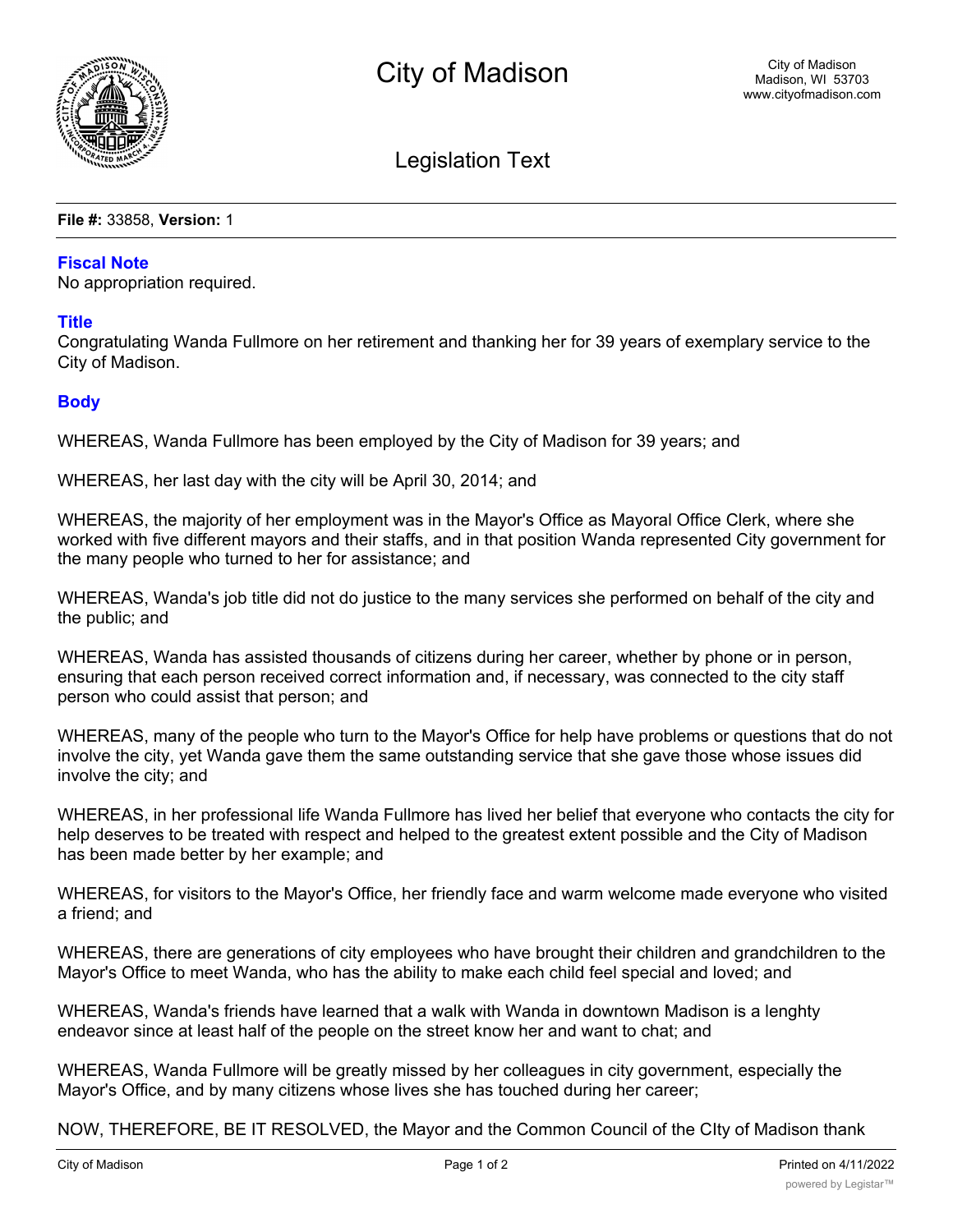

Legislation Text

**File #:** 33858, **Version:** 1

## **Fiscal Note**

No appropriation required.

## **Title**

Congratulating Wanda Fullmore on her retirement and thanking her for 39 years of exemplary service to the City of Madison.

## **Body**

WHEREAS, Wanda Fullmore has been employed by the City of Madison for 39 years; and

WHEREAS, her last day with the city will be April 30, 2014; and

WHEREAS, the majority of her employment was in the Mayor's Office as Mayoral Office Clerk, where she worked with five different mayors and their staffs, and in that position Wanda represented City government for the many people who turned to her for assistance; and

WHEREAS, Wanda's job title did not do justice to the many services she performed on behalf of the city and the public; and

WHEREAS, Wanda has assisted thousands of citizens during her career, whether by phone or in person, ensuring that each person received correct information and, if necessary, was connected to the city staff person who could assist that person; and

WHEREAS, many of the people who turn to the Mayor's Office for help have problems or questions that do not involve the city, yet Wanda gave them the same outstanding service that she gave those whose issues did involve the city; and

WHEREAS, in her professional life Wanda Fullmore has lived her belief that everyone who contacts the city for help deserves to be treated with respect and helped to the greatest extent possible and the City of Madison has been made better by her example; and

WHEREAS, for visitors to the Mayor's Office, her friendly face and warm welcome made everyone who visited a friend; and

WHEREAS, there are generations of city employees who have brought their children and grandchildren to the Mayor's Office to meet Wanda, who has the ability to make each child feel special and loved; and

WHEREAS, Wanda's friends have learned that a walk with Wanda in downtown Madison is a lenghty endeavor since at least half of the people on the street know her and want to chat; and

WHEREAS, Wanda Fullmore will be greatly missed by her colleagues in city government, especially the Mayor's Office, and by many citizens whose lives she has touched during her career;

NOW, THEREFORE, BE IT RESOLVED, the Mayor and the Common Council of the CIty of Madison thank